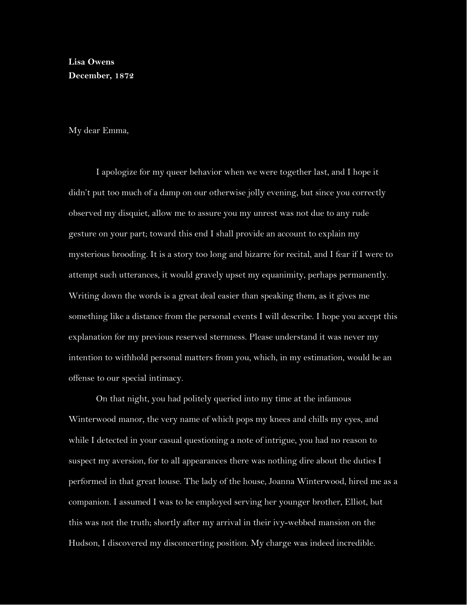## **Lisa Owens December, 1872**

My dear Emma,

I apologize for my queer behavior when we were together last, and I hope it didn't put too much of a damp on our otherwise jolly evening, but since you correctly observed my disquiet, allow me to assure you my unrest was not due to any rude gesture on your part; toward this end I shall provide an account to explain my mysterious brooding. It is a story too long and bizarre for recital, and I fear if I were to attempt such utterances, it would gravely upset my equanimity, perhaps permanently. Writing down the words is a great deal easier than speaking them, as it gives me something like a distance from the personal events I will describe. I hope you accept this explanation for my previous reserved sternness. Please understand it was never my intention to withhold personal matters from you, which, in my estimation, would be an offense to our special intimacy.

On that night, you had politely queried into my time at the infamous Winterwood manor, the very name of which pops my knees and chills my eyes, and while I detected in your casual questioning a note of intrigue, you had no reason to suspect my aversion, for to all appearances there was nothing dire about the duties I performed in that great house. The lady of the house, Joanna Winterwood, hired me as a companion. I assumed I was to be employed serving her younger brother, Elliot, but this was not the truth; shortly after my arrival in their ivy-webbed mansion on the Hudson, I discovered my disconcerting position. My charge was indeed incredible.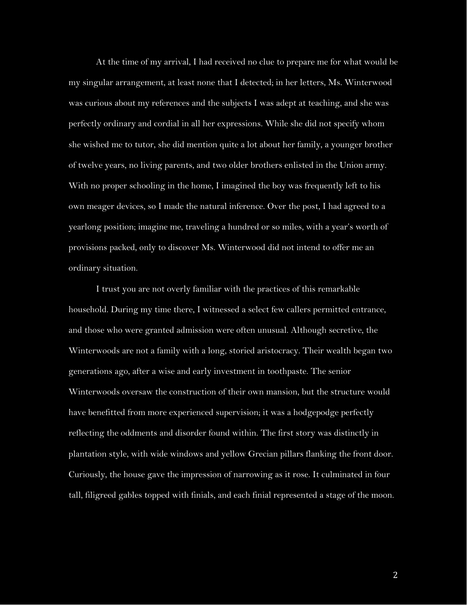At the time of my arrival, I had received no clue to prepare me for what would be my singular arrangement, at least none that I detected; in her letters, Ms. Winterwood was curious about my references and the subjects I was adept at teaching, and she was perfectly ordinary and cordial in all her expressions. While she did not specify whom she wished me to tutor, she did mention quite a lot about her family, a younger brother of twelve years, no living parents, and two older brothers enlisted in the Union army. With no proper schooling in the home, I imagined the boy was frequently left to his own meager devices, so I made the natural inference. Over the post, I had agreed to a yearlong position; imagine me, traveling a hundred or so miles, with a year's worth of provisions packed, only to discover Ms. Winterwood did not intend to offer me an ordinary situation.

I trust you are not overly familiar with the practices of this remarkable household. During my time there, I witnessed a select few callers permitted entrance, and those who were granted admission were often unusual. Although secretive, the Winterwoods are not a family with a long, storied aristocracy. Their wealth began two generations ago, after a wise and early investment in toothpaste. The senior Winterwoods oversaw the construction of their own mansion, but the structure would have benefitted from more experienced supervision; it was a hodgepodge perfectly reflecting the oddments and disorder found within. The first story was distinctly in plantation style, with wide windows and yellow Grecian pillars flanking the front door. Curiously, the house gave the impression of narrowing as it rose. It culminated in four tall, filigreed gables topped with finials, and each finial represented a stage of the moon.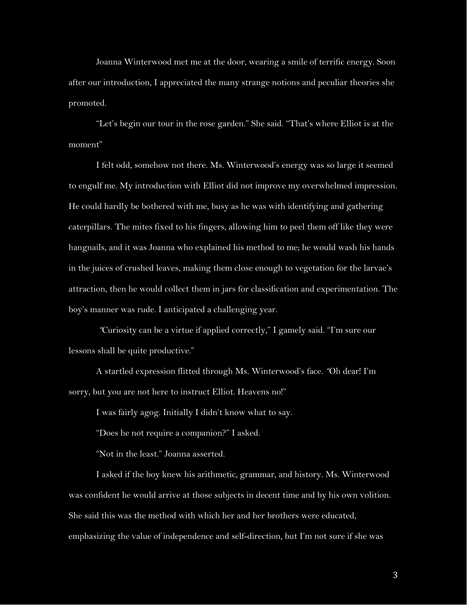Joanna Winterwood met me at the door, wearing a smile of terrific energy. Soon after our introduction, I appreciated the many strange notions and peculiar theories she promoted.

"Let's begin our tour in the rose garden." She said. "That's where Elliot is at the moment"

I felt odd, somehow not there. Ms. Winterwood's energy was so large it seemed to engulf me. My introduction with Elliot did not improve my overwhelmed impression. He could hardly be bothered with me, busy as he was with identifying and gathering caterpillars. The mites fixed to his fingers, allowing him to peel them off like they were hangnails, and it was Joanna who explained his method to me; he would wash his hands in the juices of crushed leaves, making them close enough to vegetation for the larvae's attraction, then he would collect them in jars for classification and experimentation. The boy's manner was rude. I anticipated a challenging year.

*"*Curiosity can be a virtue if applied correctly," I gamely said. "I'm sure our lessons shall be quite productive."

A startled expression flitted through Ms. Winterwood's face. *"*Oh dear! I'm sorry, but you are not here to instruct Elliot. Heavens no!"

I was fairly agog. Initially I didn't know what to say.

"Does he not require a companion?" I asked.

"Not in the least." Joanna asserted.

I asked if the boy knew his arithmetic, grammar, and history. Ms. Winterwood was confident he would arrive at those subjects in decent time and by his own volition. She said this was the method with which her and her brothers were educated, emphasizing the value of independence and self-direction, but I'm not sure if she was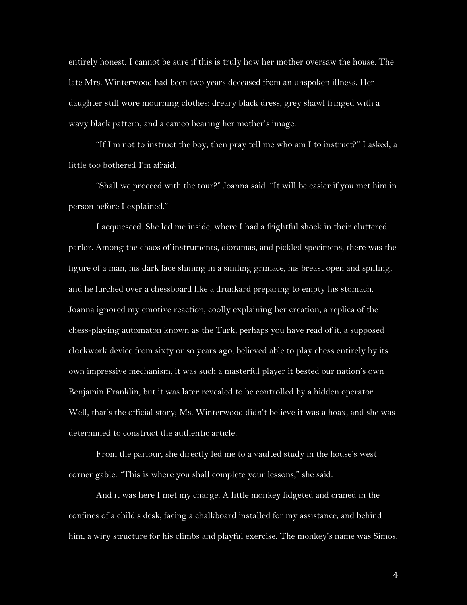entirely honest. I cannot be sure if this is truly how her mother oversaw the house. The late Mrs. Winterwood had been two years deceased from an unspoken illness. Her daughter still wore mourning clothes: dreary black dress, grey shawl fringed with a wavy black pattern, and a cameo bearing her mother's image.

"If I'm not to instruct the boy, then pray tell me who am I to instruct?" I asked, a little too bothered I'm afraid.

"Shall we proceed with the tour?" Joanna said. "It will be easier if you met him in person before I explained."

I acquiesced. She led me inside, where I had a frightful shock in their cluttered parlor. Among the chaos of instruments, dioramas, and pickled specimens, there was the figure of a man, his dark face shining in a smiling grimace, his breast open and spilling, and he lurched over a chessboard like a drunkard preparing to empty his stomach. Joanna ignored my emotive reaction, coolly explaining her creation, a replica of the chess-playing automaton known as the Turk, perhaps you have read of it, a supposed clockwork device from sixty or so years ago, believed able to play chess entirely by its own impressive mechanism; it was such a masterful player it bested our nation's own Benjamin Franklin, but it was later revealed to be controlled by a hidden operator. Well, that's the official story; Ms. Winterwood didn't believe it was a hoax, and she was determined to construct the authentic article.

From the parlour, she directly led me to a vaulted study in the house's west corner gable. *"*This is where you shall complete your lessons," she said.

And it was here I met my charge. A little monkey fidgeted and craned in the confines of a child's desk, facing a chalkboard installed for my assistance, and behind him, a wiry structure for his climbs and playful exercise. The monkey's name was Simos.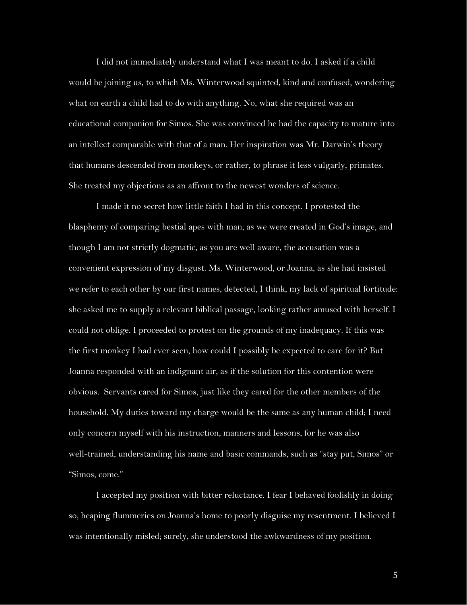I did not immediately understand what I was meant to do. I asked if a child would be joining us, to which Ms. Winterwood squinted, kind and confused, wondering what on earth a child had to do with anything. No, what she required was an educational companion for Simos. She was convinced he had the capacity to mature into an intellect comparable with that of a man. Her inspiration was Mr. Darwin's theory that humans descended from monkeys, or rather, to phrase it less vulgarly, primates. She treated my objections as an affront to the newest wonders of science.

I made it no secret how little faith I had in this concept. I protested the blasphemy of comparing bestial apes with man, as we were created in God's image, and though I am not strictly dogmatic, as you are well aware, the accusation was a convenient expression of my disgust. Ms. Winterwood, or Joanna, as she had insisted we refer to each other by our first names, detected, I think, my lack of spiritual fortitude: she asked me to supply a relevant biblical passage, looking rather amused with herself. I could not oblige. I proceeded to protest on the grounds of my inadequacy. If this was the first monkey I had ever seen, how could I possibly be expected to care for it? But Joanna responded with an indignant air, as if the solution for this contention were obvious. Servants cared for Simos, just like they cared for the other members of the household. My duties toward my charge would be the same as any human child; I need only concern myself with his instruction, manners and lessons, for he was also well-trained, understanding his name and basic commands, such as "stay put, Simos" or "Simos, come."

I accepted my position with bitter reluctance. I fear I behaved foolishly in doing so, heaping flummeries on Joanna's home to poorly disguise my resentment. I believed I was intentionally misled; surely, she understood the awkwardness of my position.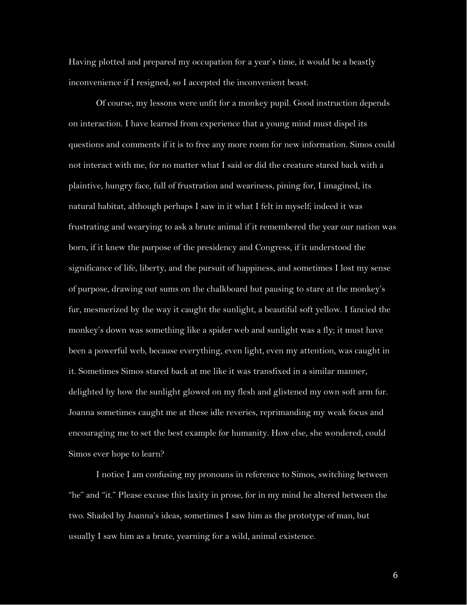Having plotted and prepared my occupation for a year's time, it would be a beastly inconvenience if I resigned, so I accepted the inconvenient beast.

Of course, my lessons were unfit for a monkey pupil. Good instruction depends on interaction. I have learned from experience that a young mind must dispel its questions and comments if it is to free any more room for new information. Simos could not interact with me, for no matter what I said or did the creature stared back with a plaintive, hungry face, full of frustration and weariness, pining for, I imagined, its natural habitat, although perhaps I saw in it what I felt in myself; indeed it was frustrating and wearying to ask a brute animal if it remembered the year our nation was born, if it knew the purpose of the presidency and Congress, if it understood the significance of life, liberty, and the pursuit of happiness, and sometimes I lost my sense of purpose, drawing out sums on the chalkboard but pausing to stare at the monkey's fur, mesmerized by the way it caught the sunlight, a beautiful soft yellow. I fancied the monkey's down was something like a spider web and sunlight was a fly; it must have been a powerful web, because everything, even light, even my attention, was caught in it. Sometimes Simos stared back at me like it was transfixed in a similar manner, delighted by how the sunlight glowed on my flesh and glistened my own soft arm fur. Joanna sometimes caught me at these idle reveries, reprimanding my weak focus and encouraging me to set the best example for humanity. How else, she wondered, could Simos ever hope to learn?

I notice I am confusing my pronouns in reference to Simos, switching between "he" and "it." Please excuse this laxity in prose, for in my mind he altered between the two. Shaded by Joanna's ideas, sometimes I saw him as the prototype of man, but usually I saw him as a brute, yearning for a wild, animal existence.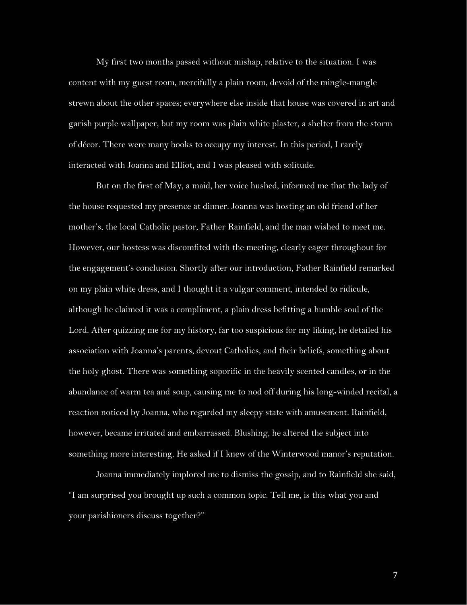My first two months passed without mishap, relative to the situation. I was content with my guest room, mercifully a plain room, devoid of the mingle-mangle strewn about the other spaces; everywhere else inside that house was covered in art and garish purple wallpaper, but my room was plain white plaster, a shelter from the storm of décor. There were many books to occupy my interest. In this period, I rarely interacted with Joanna and Elliot, and I was pleased with solitude.

But on the first of May, a maid, her voice hushed, informed me that the lady of the house requested my presence at dinner. Joanna was hosting an old friend of her mother's, the local Catholic pastor, Father Rainfield, and the man wished to meet me. However, our hostess was discomfited with the meeting, clearly eager throughout for the engagement's conclusion. Shortly after our introduction, Father Rainfield remarked on my plain white dress, and I thought it a vulgar comment, intended to ridicule, although he claimed it was a compliment, a plain dress befitting a humble soul of the Lord. After quizzing me for my history, far too suspicious for my liking, he detailed his association with Joanna's parents, devout Catholics, and their beliefs, something about the holy ghost. There was something soporific in the heavily scented candles, or in the abundance of warm tea and soup, causing me to nod off during his long-winded recital, a reaction noticed by Joanna, who regarded my sleepy state with amusement. Rainfield, however, became irritated and embarrassed. Blushing, he altered the subject into something more interesting. He asked if I knew of the Winterwood manor's reputation.

Joanna immediately implored me to dismiss the gossip, and to Rainfield she said, "I am surprised you brought up such a common topic. Tell me, is this what you and your parishioners discuss together?"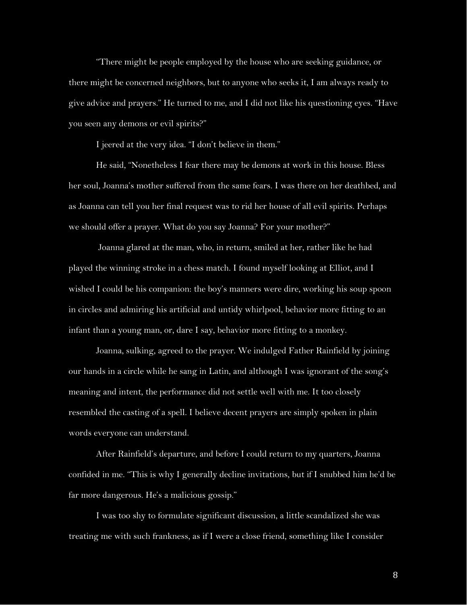"There might be people employed by the house who are seeking guidance, or there might be concerned neighbors, but to anyone who seeks it, I am always ready to give advice and prayers." He turned to me, and I did not like his questioning eyes. "Have you seen any demons or evil spirits?"

I jeered at the very idea. "I don't believe in them."

He said, "Nonetheless I fear there may be demons at work in this house. Bless her soul, Joanna's mother suffered from the same fears. I was there on her deathbed, and as Joanna can tell you her final request was to rid her house of all evil spirits. Perhaps we should offer a prayer. What do you say Joanna? For your mother?"

 Joanna glared at the man, who, in return, smiled at her, rather like he had played the winning stroke in a chess match. I found myself looking at Elliot, and I wished I could be his companion: the boy's manners were dire, working his soup spoon in circles and admiring his artificial and untidy whirlpool, behavior more fitting to an infant than a young man, or, dare I say, behavior more fitting to a monkey.

Joanna, sulking, agreed to the prayer. We indulged Father Rainfield by joining our hands in a circle while he sang in Latin, and although I was ignorant of the song's meaning and intent, the performance did not settle well with me. It too closely resembled the casting of a spell. I believe decent prayers are simply spoken in plain words everyone can understand.

After Rainfield's departure, and before I could return to my quarters, Joanna confided in me. "This is why I generally decline invitations, but if I snubbed him he'd be far more dangerous. He's a malicious gossip."

I was too shy to formulate significant discussion, a little scandalized she was treating me with such frankness, as if I were a close friend, something like I consider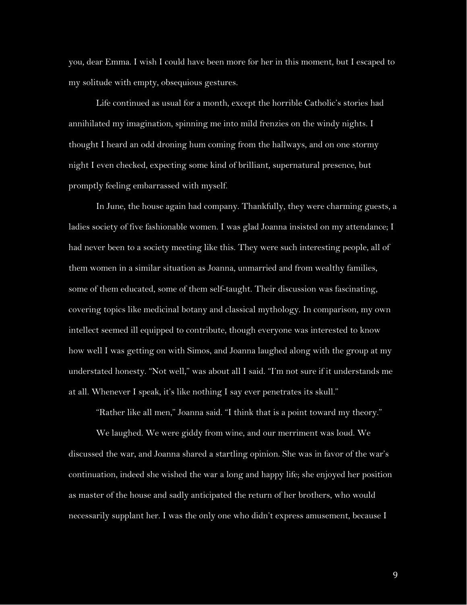you, dear Emma. I wish I could have been more for her in this moment, but I escaped to my solitude with empty, obsequious gestures.

Life continued as usual for a month, except the horrible Catholic's stories had annihilated my imagination, spinning me into mild frenzies on the windy nights. I thought I heard an odd droning hum coming from the hallways, and on one stormy night I even checked, expecting some kind of brilliant, supernatural presence, but promptly feeling embarrassed with myself.

In June, the house again had company. Thankfully, they were charming guests, a ladies society of five fashionable women. I was glad Joanna insisted on my attendance; I had never been to a society meeting like this. They were such interesting people, all of them women in a similar situation as Joanna, unmarried and from wealthy families, some of them educated, some of them self-taught. Their discussion was fascinating, covering topics like medicinal botany and classical mythology. In comparison, my own intellect seemed ill equipped to contribute, though everyone was interested to know how well I was getting on with Simos, and Joanna laughed along with the group at my understated honesty. "Not well," was about all I said. "I'm not sure if it understands me at all. Whenever I speak, it's like nothing I say ever penetrates its skull."

"Rather like all men," Joanna said. "I think that is a point toward my theory."

We laughed. We were giddy from wine, and our merriment was loud. We discussed the war, and Joanna shared a startling opinion. She was in favor of the war's continuation, indeed she wished the war a long and happy life; she enjoyed her position as master of the house and sadly anticipated the return of her brothers, who would necessarily supplant her. I was the only one who didn't express amusement, because I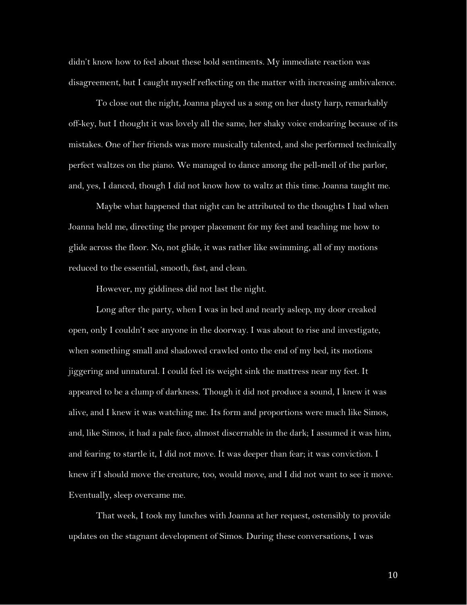didn't know how to feel about these bold sentiments. My immediate reaction was disagreement, but I caught myself reflecting on the matter with increasing ambivalence.

To close out the night, Joanna played us a song on her dusty harp, remarkably off-key, but I thought it was lovely all the same, her shaky voice endearing because of its mistakes. One of her friends was more musically talented, and she performed technically perfect waltzes on the piano. We managed to dance among the pell-mell of the parlor, and, yes, I danced, though I did not know how to waltz at this time. Joanna taught me.

Maybe what happened that night can be attributed to the thoughts I had when Joanna held me, directing the proper placement for my feet and teaching me how to glide across the floor. No, not glide, it was rather like swimming, all of my motions reduced to the essential, smooth, fast, and clean.

However, my giddiness did not last the night.

Long after the party, when I was in bed and nearly asleep, my door creaked open, only I couldn't see anyone in the doorway. I was about to rise and investigate, when something small and shadowed crawled onto the end of my bed, its motions jiggering and unnatural. I could feel its weight sink the mattress near my feet. It appeared to be a clump of darkness. Though it did not produce a sound, I knew it was alive, and I knew it was watching me. Its form and proportions were much like Simos, and, like Simos, it had a pale face, almost discernable in the dark; I assumed it was him, and fearing to startle it, I did not move. It was deeper than fear; it was conviction. I knew if I should move the creature, too, would move, and I did not want to see it move. Eventually, sleep overcame me.

That week, I took my lunches with Joanna at her request, ostensibly to provide updates on the stagnant development of Simos. During these conversations, I was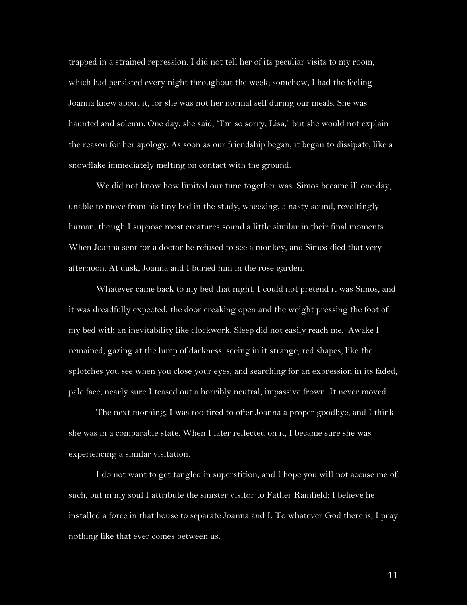trapped in a strained repression. I did not tell her of its peculiar visits to my room, which had persisted every night throughout the week; somehow, I had the feeling Joanna knew about it, for she was not her normal self during our meals. She was haunted and solemn. One day, she said, "I'm so sorry, Lisa," but she would not explain the reason for her apology. As soon as our friendship began, it began to dissipate, like a snowflake immediately melting on contact with the ground.

We did not know how limited our time together was. Simos became ill one day, unable to move from his tiny bed in the study, wheezing, a nasty sound, revoltingly human, though I suppose most creatures sound a little similar in their final moments. When Joanna sent for a doctor he refused to see a monkey, and Simos died that very afternoon. At dusk, Joanna and I buried him in the rose garden.

Whatever came back to my bed that night, I could not pretend it was Simos, and it was dreadfully expected, the door creaking open and the weight pressing the foot of my bed with an inevitability like clockwork. Sleep did not easily reach me. Awake I remained, gazing at the lump of darkness, seeing in it strange, red shapes, like the splotches you see when you close your eyes, and searching for an expression in its faded, pale face, nearly sure I teased out a horribly neutral, impassive frown. It never moved.

The next morning, I was too tired to offer Joanna a proper goodbye, and I think she was in a comparable state. When I later reflected on it, I became sure she was experiencing a similar visitation.

I do not want to get tangled in superstition, and I hope you will not accuse me of such, but in my soul I attribute the sinister visitor to Father Rainfield; I believe he installed a force in that house to separate Joanna and I. To whatever God there is, I pray nothing like that ever comes between us.